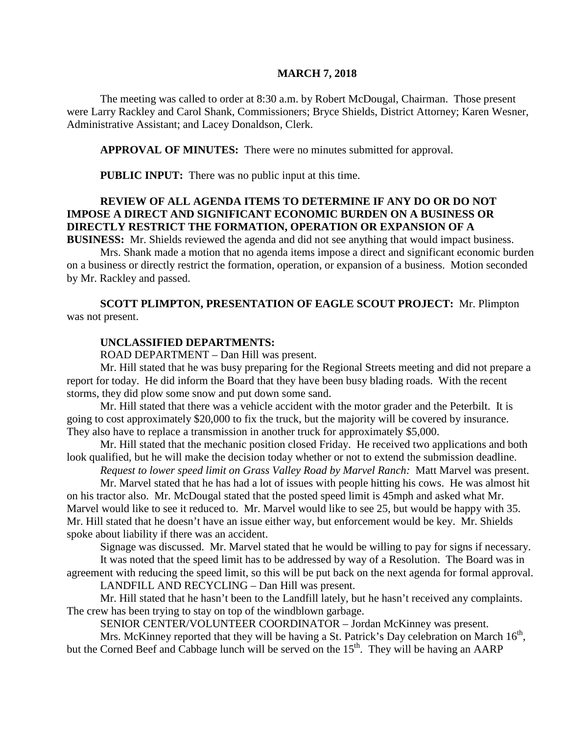#### **MARCH 7, 2018**

The meeting was called to order at 8:30 a.m. by Robert McDougal, Chairman. Those present were Larry Rackley and Carol Shank, Commissioners; Bryce Shields, District Attorney; Karen Wesner, Administrative Assistant; and Lacey Donaldson, Clerk.

**APPROVAL OF MINUTES:** There were no minutes submitted for approval.

**PUBLIC INPUT:** There was no public input at this time.

### **REVIEW OF ALL AGENDA ITEMS TO DETERMINE IF ANY DO OR DO NOT IMPOSE A DIRECT AND SIGNIFICANT ECONOMIC BURDEN ON A BUSINESS OR DIRECTLY RESTRICT THE FORMATION, OPERATION OR EXPANSION OF A BUSINESS:** Mr. Shields reviewed the agenda and did not see anything that would impact business.

Mrs. Shank made a motion that no agenda items impose a direct and significant economic burden on a business or directly restrict the formation, operation, or expansion of a business. Motion seconded by Mr. Rackley and passed.

**SCOTT PLIMPTON, PRESENTATION OF EAGLE SCOUT PROJECT:** Mr. Plimpton was not present.

### **UNCLASSIFIED DEPARTMENTS:**

ROAD DEPARTMENT – Dan Hill was present.

Mr. Hill stated that he was busy preparing for the Regional Streets meeting and did not prepare a report for today. He did inform the Board that they have been busy blading roads. With the recent storms, they did plow some snow and put down some sand.

Mr. Hill stated that there was a vehicle accident with the motor grader and the Peterbilt. It is going to cost approximately \$20,000 to fix the truck, but the majority will be covered by insurance. They also have to replace a transmission in another truck for approximately \$5,000.

Mr. Hill stated that the mechanic position closed Friday. He received two applications and both look qualified, but he will make the decision today whether or not to extend the submission deadline.

*Request to lower speed limit on Grass Valley Road by Marvel Ranch:* Matt Marvel was present.

Mr. Marvel stated that he has had a lot of issues with people hitting his cows. He was almost hit on his tractor also. Mr. McDougal stated that the posted speed limit is 45mph and asked what Mr. Marvel would like to see it reduced to. Mr. Marvel would like to see 25, but would be happy with 35. Mr. Hill stated that he doesn't have an issue either way, but enforcement would be key. Mr. Shields spoke about liability if there was an accident.

Signage was discussed. Mr. Marvel stated that he would be willing to pay for signs if necessary. It was noted that the speed limit has to be addressed by way of a Resolution. The Board was in agreement with reducing the speed limit, so this will be put back on the next agenda for formal approval.

LANDFILL AND RECYCLING – Dan Hill was present.

Mr. Hill stated that he hasn't been to the Landfill lately, but he hasn't received any complaints. The crew has been trying to stay on top of the windblown garbage.

SENIOR CENTER/VOLUNTEER COORDINATOR – Jordan McKinney was present.

Mrs. McKinney reported that they will be having a St. Patrick's Day celebration on March  $16<sup>th</sup>$ , but the Corned Beef and Cabbage lunch will be served on the  $15<sup>th</sup>$ . They will be having an AARP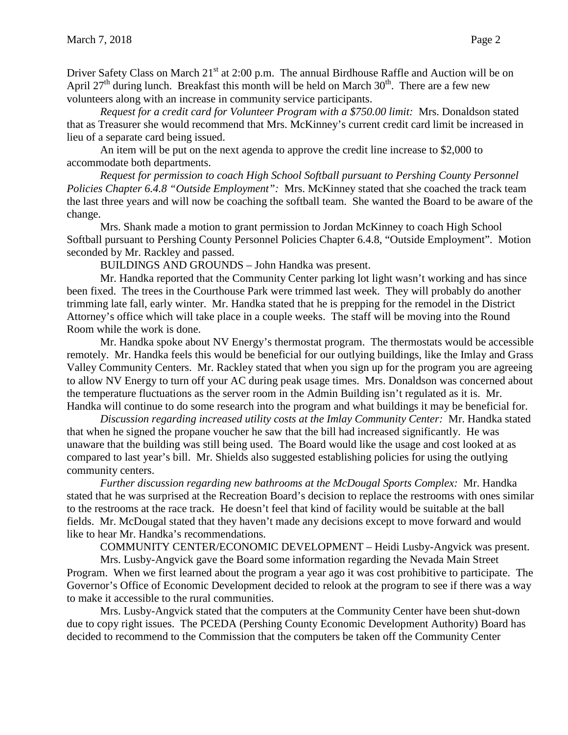Driver Safety Class on March  $21<sup>st</sup>$  at 2:00 p.m. The annual Birdhouse Raffle and Auction will be on April 27<sup>th</sup> during lunch. Breakfast this month will be held on March  $30<sup>th</sup>$ . There are a few new volunteers along with an increase in community service participants.

*Request for a credit card for Volunteer Program with a \$750.00 limit:* Mrs. Donaldson stated that as Treasurer she would recommend that Mrs. McKinney's current credit card limit be increased in lieu of a separate card being issued.

An item will be put on the next agenda to approve the credit line increase to \$2,000 to accommodate both departments.

*Request for permission to coach High School Softball pursuant to Pershing County Personnel Policies Chapter 6.4.8 "Outside Employment":* Mrs. McKinney stated that she coached the track team the last three years and will now be coaching the softball team. She wanted the Board to be aware of the change.

Mrs. Shank made a motion to grant permission to Jordan McKinney to coach High School Softball pursuant to Pershing County Personnel Policies Chapter 6.4.8, "Outside Employment". Motion seconded by Mr. Rackley and passed.

BUILDINGS AND GROUNDS – John Handka was present.

Mr. Handka reported that the Community Center parking lot light wasn't working and has since been fixed. The trees in the Courthouse Park were trimmed last week. They will probably do another trimming late fall, early winter. Mr. Handka stated that he is prepping for the remodel in the District Attorney's office which will take place in a couple weeks. The staff will be moving into the Round Room while the work is done.

Mr. Handka spoke about NV Energy's thermostat program. The thermostats would be accessible remotely. Mr. Handka feels this would be beneficial for our outlying buildings, like the Imlay and Grass Valley Community Centers. Mr. Rackley stated that when you sign up for the program you are agreeing to allow NV Energy to turn off your AC during peak usage times. Mrs. Donaldson was concerned about the temperature fluctuations as the server room in the Admin Building isn't regulated as it is. Mr. Handka will continue to do some research into the program and what buildings it may be beneficial for.

*Discussion regarding increased utility costs at the Imlay Community Center:* Mr. Handka stated that when he signed the propane voucher he saw that the bill had increased significantly. He was unaware that the building was still being used. The Board would like the usage and cost looked at as compared to last year's bill. Mr. Shields also suggested establishing policies for using the outlying community centers.

*Further discussion regarding new bathrooms at the McDougal Sports Complex:* Mr. Handka stated that he was surprised at the Recreation Board's decision to replace the restrooms with ones similar to the restrooms at the race track. He doesn't feel that kind of facility would be suitable at the ball fields. Mr. McDougal stated that they haven't made any decisions except to move forward and would like to hear Mr. Handka's recommendations.

COMMUNITY CENTER/ECONOMIC DEVELOPMENT – Heidi Lusby-Angvick was present.

Mrs. Lusby-Angvick gave the Board some information regarding the Nevada Main Street Program. When we first learned about the program a year ago it was cost prohibitive to participate. The Governor's Office of Economic Development decided to relook at the program to see if there was a way to make it accessible to the rural communities.

Mrs. Lusby-Angvick stated that the computers at the Community Center have been shut-down due to copy right issues. The PCEDA (Pershing County Economic Development Authority) Board has decided to recommend to the Commission that the computers be taken off the Community Center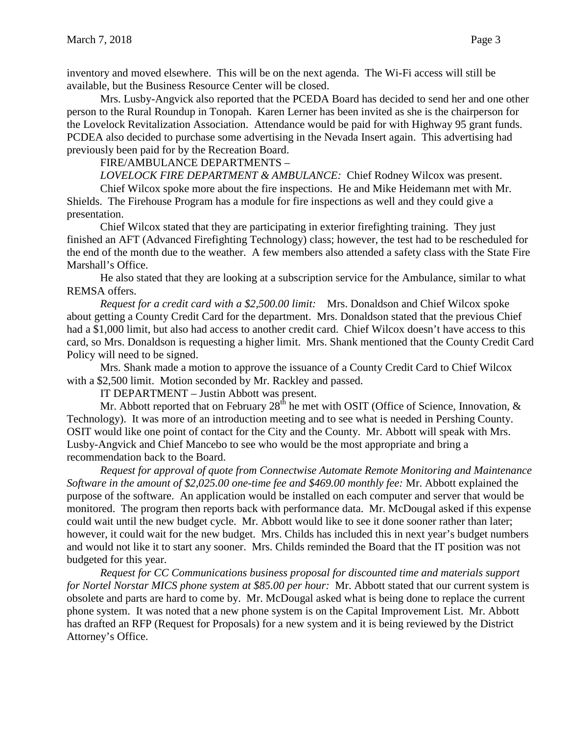inventory and moved elsewhere. This will be on the next agenda. The Wi-Fi access will still be available, but the Business Resource Center will be closed.

Mrs. Lusby-Angvick also reported that the PCEDA Board has decided to send her and one other person to the Rural Roundup in Tonopah. Karen Lerner has been invited as she is the chairperson for the Lovelock Revitalization Association. Attendance would be paid for with Highway 95 grant funds. PCDEA also decided to purchase some advertising in the Nevada Insert again. This advertising had previously been paid for by the Recreation Board.

FIRE/AMBULANCE DEPARTMENTS –

*LOVELOCK FIRE DEPARTMENT & AMBULANCE:* Chief Rodney Wilcox was present.

Chief Wilcox spoke more about the fire inspections. He and Mike Heidemann met with Mr. Shields. The Firehouse Program has a module for fire inspections as well and they could give a presentation.

Chief Wilcox stated that they are participating in exterior firefighting training. They just finished an AFT (Advanced Firefighting Technology) class; however, the test had to be rescheduled for the end of the month due to the weather. A few members also attended a safety class with the State Fire Marshall's Office.

He also stated that they are looking at a subscription service for the Ambulance, similar to what REMSA offers.

*Request for a credit card with a \$2,500.00 limit:* Mrs. Donaldson and Chief Wilcox spoke about getting a County Credit Card for the department. Mrs. Donaldson stated that the previous Chief had a \$1,000 limit, but also had access to another credit card. Chief Wilcox doesn't have access to this card, so Mrs. Donaldson is requesting a higher limit. Mrs. Shank mentioned that the County Credit Card Policy will need to be signed.

Mrs. Shank made a motion to approve the issuance of a County Credit Card to Chief Wilcox with a \$2,500 limit. Motion seconded by Mr. Rackley and passed.

IT DEPARTMENT – Justin Abbott was present.

Mr. Abbott reported that on February  $28<sup>th</sup>$  he met with OSIT (Office of Science, Innovation,  $\&$ Technology). It was more of an introduction meeting and to see what is needed in Pershing County. OSIT would like one point of contact for the City and the County. Mr. Abbott will speak with Mrs. Lusby-Angvick and Chief Mancebo to see who would be the most appropriate and bring a recommendation back to the Board.

*Request for approval of quote from Connectwise Automate Remote Monitoring and Maintenance Software in the amount of \$2,025.00 one-time fee and \$469.00 monthly fee:* Mr. Abbott explained the purpose of the software. An application would be installed on each computer and server that would be monitored. The program then reports back with performance data. Mr. McDougal asked if this expense could wait until the new budget cycle. Mr. Abbott would like to see it done sooner rather than later; however, it could wait for the new budget. Mrs. Childs has included this in next year's budget numbers and would not like it to start any sooner. Mrs. Childs reminded the Board that the IT position was not budgeted for this year.

*Request for CC Communications business proposal for discounted time and materials support for Nortel Norstar MICS phone system at \$85.00 per hour:* Mr. Abbott stated that our current system is obsolete and parts are hard to come by. Mr. McDougal asked what is being done to replace the current phone system. It was noted that a new phone system is on the Capital Improvement List. Mr. Abbott has drafted an RFP (Request for Proposals) for a new system and it is being reviewed by the District Attorney's Office.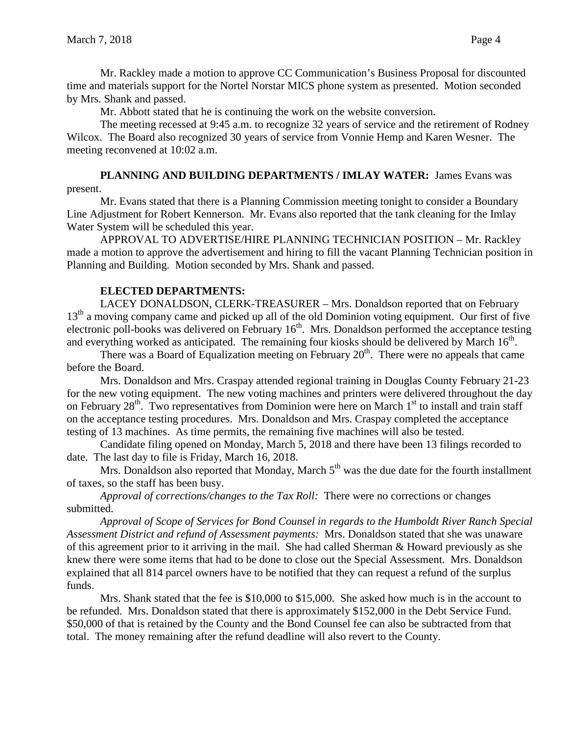Mr. Rackley made a motion to approve CC Communication's Business Proposal for discounted time and materials support for the Nortel Norstar MICS phone system as presented. Motion seconded by Mrs. Shank and passed.

Mr. Abbott stated that he is continuing the work on the website conversion.

The meeting recessed at 9:45 a.m. to recognize 32 years of service and the retirement of Rodney Wilcox. The Board also recognized 30 years of service from Vonnie Hemp and Karen Wesner. The meeting reconvened at 10:02 a.m.

## **PLANNING AND BUILDING DEPARTMENTS / IMLAY WATER:** James Evans was present.

Mr. Evans stated that there is a Planning Commission meeting tonight to consider a Boundary Line Adjustment for Robert Kennerson. Mr. Evans also reported that the tank cleaning for the Imlay Water System will be scheduled this year.

APPROVAL TO ADVERTISE/HIRE PLANNING TECHNICIAN POSITION – Mr. Rackley made a motion to approve the advertisement and hiring to fill the vacant Planning Technician position in Planning and Building. Motion seconded by Mrs. Shank and passed.

# **ELECTED DEPARTMENTS:**

LACEY DONALDSON, CLERK-TREASURER – Mrs. Donaldson reported that on February 13<sup>th</sup> a moving company came and picked up all of the old Dominion voting equipment. Our first of five electronic poll-books was delivered on February  $16<sup>th</sup>$ . Mrs. Donaldson performed the acceptance testing and everything worked as anticipated. The remaining four kiosks should be delivered by March  $16<sup>th</sup>$ .

There was a Board of Equalization meeting on February  $20<sup>th</sup>$ . There were no appeals that came before the Board.

Mrs. Donaldson and Mrs. Craspay attended regional training in Douglas County February 21-23 for the new voting equipment. The new voting machines and printers were delivered throughout the day on February  $28<sup>th</sup>$ . Two representatives from Dominion were here on March  $1<sup>st</sup>$  to install and train staff on the acceptance testing procedures. Mrs. Donaldson and Mrs. Craspay completed the acceptance testing of 13 machines. As time permits, the remaining five machines will also be tested.

Candidate filing opened on Monday, March 5, 2018 and there have been 13 filings recorded to date. The last day to file is Friday, March 16, 2018.

Mrs. Donaldson also reported that Monday, March  $5<sup>th</sup>$  was the due date for the fourth installment of taxes, so the staff has been busy.

*Approval of corrections/changes to the Tax Roll:* There were no corrections or changes submitted.

*Approval of Scope of Services for Bond Counsel in regards to the Humboldt River Ranch Special Assessment District and refund of Assessment payments:* Mrs. Donaldson stated that she was unaware of this agreement prior to it arriving in the mail. She had called Sherman & Howard previously as she knew there were some items that had to be done to close out the Special Assessment. Mrs. Donaldson explained that all 814 parcel owners have to be notified that they can request a refund of the surplus funds.

Mrs. Shank stated that the fee is \$10,000 to \$15,000. She asked how much is in the account to be refunded. Mrs. Donaldson stated that there is approximately \$152,000 in the Debt Service Fund. \$50,000 of that is retained by the County and the Bond Counsel fee can also be subtracted from that total. The money remaining after the refund deadline will also revert to the County.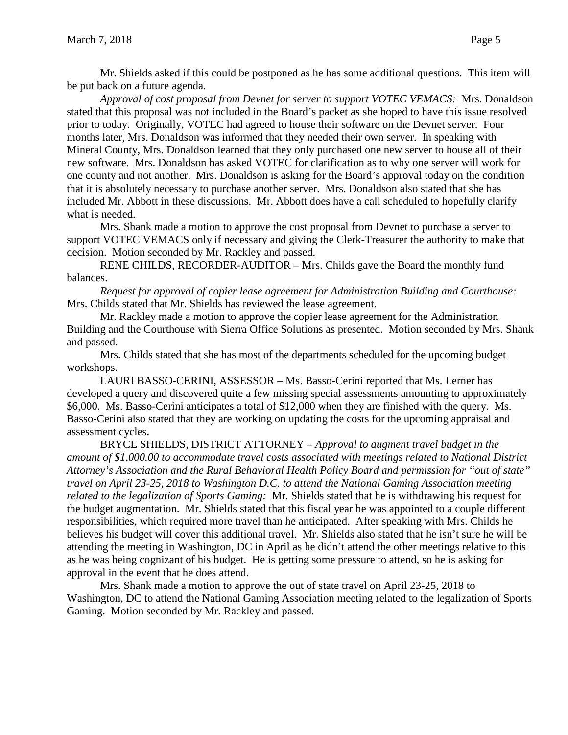Mr. Shields asked if this could be postponed as he has some additional questions. This item will be put back on a future agenda.

*Approval of cost proposal from Devnet for server to support VOTEC VEMACS:* Mrs. Donaldson stated that this proposal was not included in the Board's packet as she hoped to have this issue resolved prior to today. Originally, VOTEC had agreed to house their software on the Devnet server. Four months later, Mrs. Donaldson was informed that they needed their own server. In speaking with Mineral County, Mrs. Donaldson learned that they only purchased one new server to house all of their new software. Mrs. Donaldson has asked VOTEC for clarification as to why one server will work for one county and not another. Mrs. Donaldson is asking for the Board's approval today on the condition that it is absolutely necessary to purchase another server. Mrs. Donaldson also stated that she has included Mr. Abbott in these discussions. Mr. Abbott does have a call scheduled to hopefully clarify what is needed.

Mrs. Shank made a motion to approve the cost proposal from Devnet to purchase a server to support VOTEC VEMACS only if necessary and giving the Clerk-Treasurer the authority to make that decision. Motion seconded by Mr. Rackley and passed.

RENE CHILDS, RECORDER-AUDITOR – Mrs. Childs gave the Board the monthly fund balances.

*Request for approval of copier lease agreement for Administration Building and Courthouse:*  Mrs. Childs stated that Mr. Shields has reviewed the lease agreement.

Mr. Rackley made a motion to approve the copier lease agreement for the Administration Building and the Courthouse with Sierra Office Solutions as presented. Motion seconded by Mrs. Shank and passed.

Mrs. Childs stated that she has most of the departments scheduled for the upcoming budget workshops.

LAURI BASSO-CERINI, ASSESSOR – Ms. Basso-Cerini reported that Ms. Lerner has developed a query and discovered quite a few missing special assessments amounting to approximately \$6,000. Ms. Basso-Cerini anticipates a total of \$12,000 when they are finished with the query. Ms. Basso-Cerini also stated that they are working on updating the costs for the upcoming appraisal and assessment cycles.

BRYCE SHIELDS, DISTRICT ATTORNEY – *Approval to augment travel budget in the amount of \$1,000.00 to accommodate travel costs associated with meetings related to National District Attorney's Association and the Rural Behavioral Health Policy Board and permission for "out of state" travel on April 23-25, 2018 to Washington D.C. to attend the National Gaming Association meeting related to the legalization of Sports Gaming:* Mr. Shields stated that he is withdrawing his request for the budget augmentation. Mr. Shields stated that this fiscal year he was appointed to a couple different responsibilities, which required more travel than he anticipated. After speaking with Mrs. Childs he believes his budget will cover this additional travel. Mr. Shields also stated that he isn't sure he will be attending the meeting in Washington, DC in April as he didn't attend the other meetings relative to this as he was being cognizant of his budget. He is getting some pressure to attend, so he is asking for approval in the event that he does attend.

Mrs. Shank made a motion to approve the out of state travel on April 23-25, 2018 to Washington, DC to attend the National Gaming Association meeting related to the legalization of Sports Gaming. Motion seconded by Mr. Rackley and passed.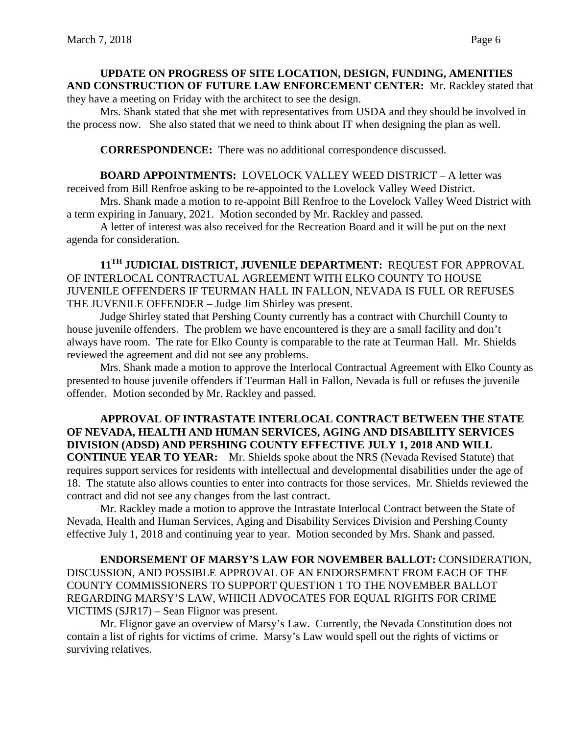### **UPDATE ON PROGRESS OF SITE LOCATION, DESIGN, FUNDING, AMENITIES AND CONSTRUCTION OF FUTURE LAW ENFORCEMENT CENTER:** Mr. Rackley stated that they have a meeting on Friday with the architect to see the design.

Mrs. Shank stated that she met with representatives from USDA and they should be involved in the process now. She also stated that we need to think about IT when designing the plan as well.

**CORRESPONDENCE:** There was no additional correspondence discussed.

**BOARD APPOINTMENTS:** LOVELOCK VALLEY WEED DISTRICT – A letter was received from Bill Renfroe asking to be re-appointed to the Lovelock Valley Weed District.

Mrs. Shank made a motion to re-appoint Bill Renfroe to the Lovelock Valley Weed District with a term expiring in January, 2021. Motion seconded by Mr. Rackley and passed.

A letter of interest was also received for the Recreation Board and it will be put on the next agenda for consideration.

**11TH JUDICIAL DISTRICT, JUVENILE DEPARTMENT:** REQUEST FOR APPROVAL OF INTERLOCAL CONTRACTUAL AGREEMENT WITH ELKO COUNTY TO HOUSE JUVENILE OFFENDERS IF TEURMAN HALL IN FALLON, NEVADA IS FULL OR REFUSES THE JUVENILE OFFENDER – Judge Jim Shirley was present.

Judge Shirley stated that Pershing County currently has a contract with Churchill County to house juvenile offenders. The problem we have encountered is they are a small facility and don't always have room. The rate for Elko County is comparable to the rate at Teurman Hall. Mr. Shields reviewed the agreement and did not see any problems.

Mrs. Shank made a motion to approve the Interlocal Contractual Agreement with Elko County as presented to house juvenile offenders if Teurman Hall in Fallon, Nevada is full or refuses the juvenile offender. Motion seconded by Mr. Rackley and passed.

## **APPROVAL OF INTRASTATE INTERLOCAL CONTRACT BETWEEN THE STATE OF NEVADA, HEALTH AND HUMAN SERVICES, AGING AND DISABILITY SERVICES DIVISION (ADSD) AND PERSHING COUNTY EFFECTIVE JULY 1, 2018 AND WILL CONTINUE YEAR TO YEAR:** Mr. Shields spoke about the NRS (Nevada Revised Statute) that requires support services for residents with intellectual and developmental disabilities under the age of 18. The statute also allows counties to enter into contracts for those services. Mr. Shields reviewed the contract and did not see any changes from the last contract.

Mr. Rackley made a motion to approve the Intrastate Interlocal Contract between the State of Nevada, Health and Human Services, Aging and Disability Services Division and Pershing County effective July 1, 2018 and continuing year to year. Motion seconded by Mrs. Shank and passed.

**ENDORSEMENT OF MARSY'S LAW FOR NOVEMBER BALLOT:** CONSIDERATION, DISCUSSION, AND POSSIBLE APPROVAL OF AN ENDORSEMENT FROM EACH OF THE COUNTY COMMISSIONERS TO SUPPORT QUESTION 1 TO THE NOVEMBER BALLOT REGARDING MARSY'S LAW, WHICH ADVOCATES FOR EQUAL RIGHTS FOR CRIME VICTIMS (SJR17) – Sean Flignor was present.

Mr. Flignor gave an overview of Marsy's Law. Currently, the Nevada Constitution does not contain a list of rights for victims of crime. Marsy's Law would spell out the rights of victims or surviving relatives.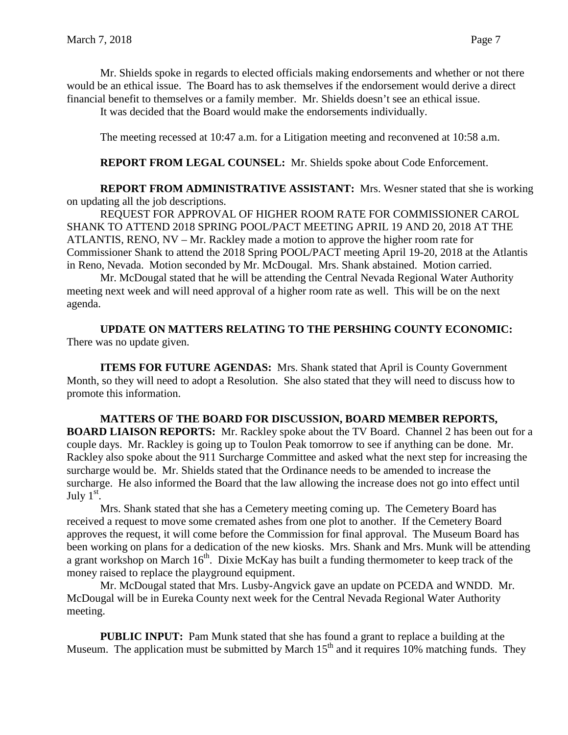Mr. Shields spoke in regards to elected officials making endorsements and whether or not there would be an ethical issue. The Board has to ask themselves if the endorsement would derive a direct financial benefit to themselves or a family member. Mr. Shields doesn't see an ethical issue.

It was decided that the Board would make the endorsements individually.

The meeting recessed at 10:47 a.m. for a Litigation meeting and reconvened at 10:58 a.m.

## **REPORT FROM LEGAL COUNSEL:** Mr. Shields spoke about Code Enforcement.

**REPORT FROM ADMINISTRATIVE ASSISTANT:** Mrs. Wesner stated that she is working on updating all the job descriptions.

REQUEST FOR APPROVAL OF HIGHER ROOM RATE FOR COMMISSIONER CAROL SHANK TO ATTEND 2018 SPRING POOL/PACT MEETING APRIL 19 AND 20, 2018 AT THE ATLANTIS, RENO, NV – Mr. Rackley made a motion to approve the higher room rate for Commissioner Shank to attend the 2018 Spring POOL/PACT meeting April 19-20, 2018 at the Atlantis in Reno, Nevada. Motion seconded by Mr. McDougal. Mrs. Shank abstained. Motion carried.

Mr. McDougal stated that he will be attending the Central Nevada Regional Water Authority meeting next week and will need approval of a higher room rate as well. This will be on the next agenda.

**UPDATE ON MATTERS RELATING TO THE PERSHING COUNTY ECONOMIC:** There was no update given.

**ITEMS FOR FUTURE AGENDAS:** Mrs. Shank stated that April is County Government Month, so they will need to adopt a Resolution. She also stated that they will need to discuss how to promote this information.

**MATTERS OF THE BOARD FOR DISCUSSION, BOARD MEMBER REPORTS, BOARD LIAISON REPORTS:** Mr. Rackley spoke about the TV Board. Channel 2 has been out for a couple days. Mr. Rackley is going up to Toulon Peak tomorrow to see if anything can be done. Mr. Rackley also spoke about the 911 Surcharge Committee and asked what the next step for increasing the surcharge would be. Mr. Shields stated that the Ordinance needs to be amended to increase the surcharge. He also informed the Board that the law allowing the increase does not go into effect until July  $1<sup>st</sup>$ .

Mrs. Shank stated that she has a Cemetery meeting coming up. The Cemetery Board has received a request to move some cremated ashes from one plot to another. If the Cemetery Board approves the request, it will come before the Commission for final approval. The Museum Board has been working on plans for a dedication of the new kiosks. Mrs. Shank and Mrs. Munk will be attending a grant workshop on March  $16<sup>th</sup>$ . Dixie McKay has built a funding thermometer to keep track of the money raised to replace the playground equipment.

Mr. McDougal stated that Mrs. Lusby-Angvick gave an update on PCEDA and WNDD. Mr. McDougal will be in Eureka County next week for the Central Nevada Regional Water Authority meeting.

**PUBLIC INPUT:** Pam Munk stated that she has found a grant to replace a building at the Museum. The application must be submitted by March  $15<sup>th</sup>$  and it requires 10% matching funds. They